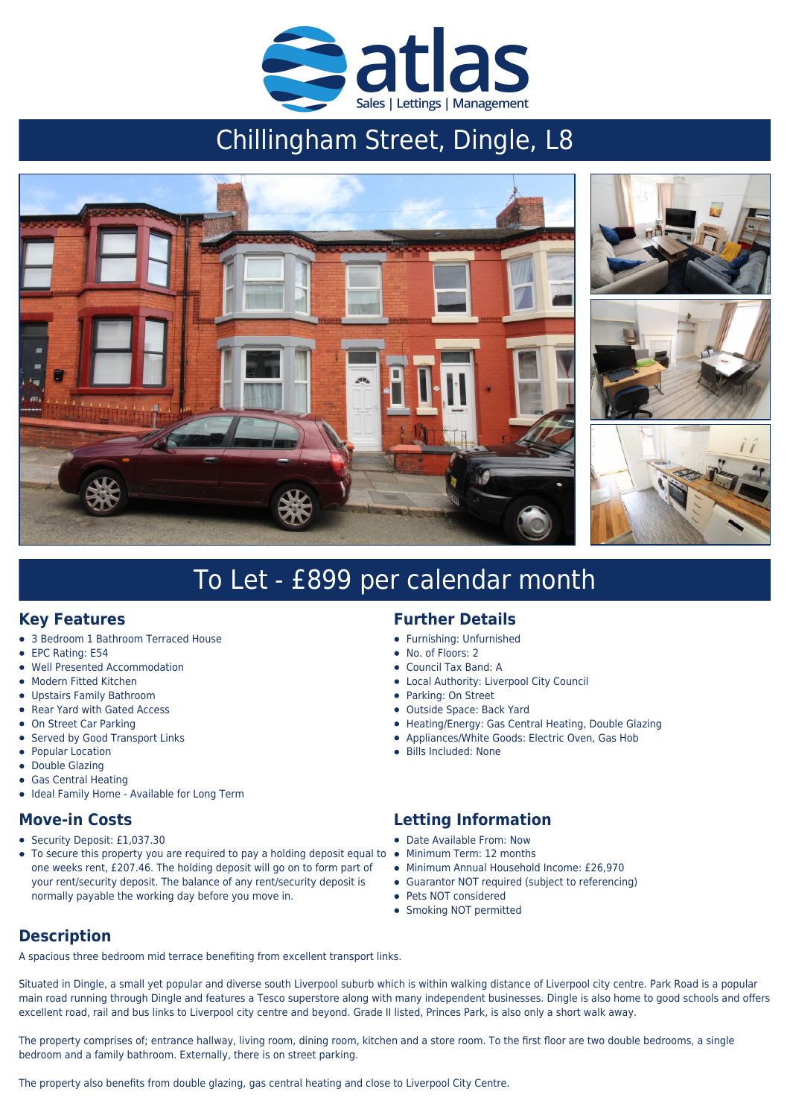

# Chillingham Street, Dingle, L8



# To Let - £899 per calendar month

### **Key Features**

- 3 Bedroom 1 Bathroom Terraced House
- EPC Rating: E54
- Well Presented Accommodation
- Modern Fitted Kitchen
- Upstairs Family Bathroom
- Rear Yard with Gated Access
- On Street Car Parking
- Served by Good Transport Links
- Popular Location
- Double Glazing
- Gas Central Heating
- Ideal Family Home Available for Long Term

#### **Move-in Costs**

- Security Deposit: £1,037.30
- To secure this property you are required to pay a holding deposit equal to  $\bullet$  $\bullet$ one weeks rent, £207.46. The holding deposit will go on to form part of your rent/security deposit. The balance of any rent/security deposit is normally payable the working day before you move in.

# **Further Details**

- Furnishing: Unfurnished
- No. of Floors: 2
- Council Tax Band: A
- Local Authority: Liverpool City Council
- Parking: On Street
- Outside Space: Back Yard
- Heating/Energy: Gas Central Heating, Double Glazing
- Appliances/White Goods: Electric Oven, Gas Hob
- Bills Included: None

### **Letting Information**

- Date Available From: Now
- Minimum Term: 12 months
- Minimum Annual Household Income: £26,970
- Guarantor NOT required (subject to referencing)
- Pets NOT considered
- Smoking NOT permitted

# **Description**

A spacious three bedroom mid terrace benefiting from excellent transport links.

Situated in Dingle, a small yet popular and diverse south Liverpool suburb which is within walking distance of Liverpool city centre. Park Road is a popular main road running through Dingle and features a Tesco superstore along with many independent businesses. Dingle is also home to good schools and offers excellent road, rail and bus links to Liverpool city centre and beyond. Grade II listed, Princes Park, is also only a short walk away.

The property comprises of; entrance hallway, living room, dining room, kitchen and a store room. To the first floor are two double bedrooms, a single bedroom and a family bathroom. Externally, there is on street parking.

The property also benefits from double glazing, gas central heating and close to Liverpool City Centre.